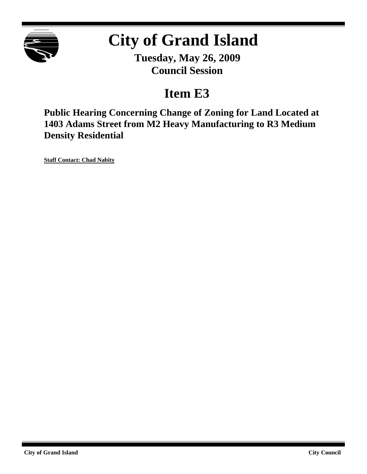

# **City of Grand Island**

**Tuesday, May 26, 2009 Council Session**

### **Item E3**

**Public Hearing Concerning Change of Zoning for Land Located at 1403 Adams Street from M2 Heavy Manufacturing to R3 Medium Density Residential**

**Staff Contact: Chad Nabity**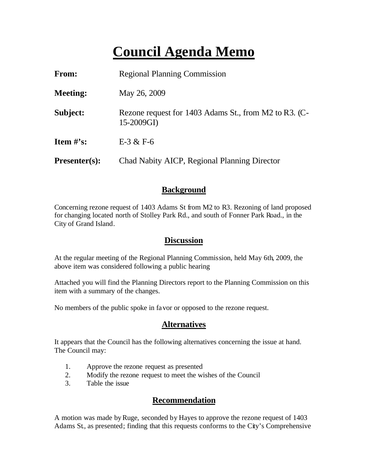## **Council Agenda Memo**

| <b>From:</b>                   | <b>Regional Planning Commission</b>                                 |  |
|--------------------------------|---------------------------------------------------------------------|--|
| <b>Meeting:</b>                | May 26, 2009                                                        |  |
| Subject:                       | Rezone request for 1403 Adams St., from M2 to R3. (C-<br>15-2009GI) |  |
| <b>Item <math>\#</math>'s:</b> | $E-3 & E-6$                                                         |  |
| $Presenter(s):$                | Chad Nabity AICP, Regional Planning Director                        |  |

#### **Background**

Concerning rezone request of 1403 Adams St from M2 to R3. Rezoning of land proposed for changing located north of Stolley Park Rd., and south of Fonner Park Road., in the City of Grand Island.

#### **Discussion**

At the regular meeting of the Regional Planning Commission, held May 6th, 2009, the above item was considered following a public hearing

Attached you will find the Planning Directors report to the Planning Commission on this item with a summary of the changes.

No members of the public spoke in favor or opposed to the rezone request.

#### **Alternatives**

It appears that the Council has the following alternatives concerning the issue at hand. The Council may:

- 1. Approve the rezone request as presented
- 2. Modify the rezone request to meet the wishes of the Council
- 3. Table the issue

#### **Recommendation**

A motion was made by Ruge, seconded by Hayes to approve the rezone request of 1403 Adams St., as presented; finding that this requests conforms to the City's Comprehensive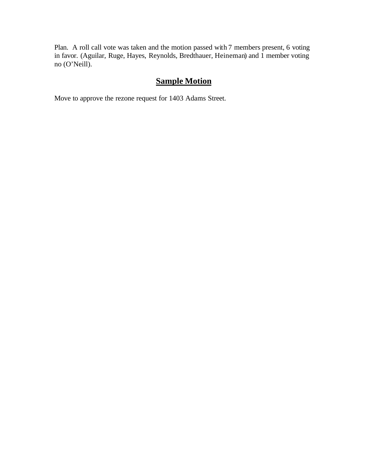Plan. A roll call vote was taken and the motion passed with 7 members present, 6 voting in favor. (Aguilar, Ruge, Hayes, Reynolds, Bredthauer, Heineman) and 1 member voting no (O'Neill).

#### **Sample Motion**

Move to approve the rezone request for 1403 Adams Street.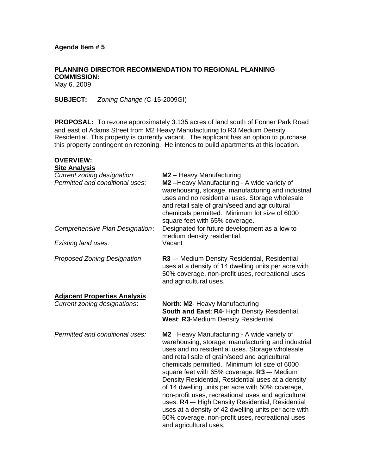**PLANNING DIRECTOR RECOMMENDATION TO REGIONAL PLANNING COMMISSION:** May 6, 2009

**SUBJECT:** *Zoning Change (*C-15-2009GI)

**PROPOSAL:** To rezone approximately 3.135 acres of land south of Fonner Park Road and east of Adams Street from M2 Heavy Manufacturing to R3 Medium Density Residential. This property is currently vacant. The applicant has an option to purchase this property contingent on rezoning. He intends to build apartments at this location.

| <b>OVERVIEW:</b><br><b>Site Analysis</b>                                   |                                                                                                                                                                                                                                                                                                                                                                                                                                                                                                                                                                                                                                                                     |
|----------------------------------------------------------------------------|---------------------------------------------------------------------------------------------------------------------------------------------------------------------------------------------------------------------------------------------------------------------------------------------------------------------------------------------------------------------------------------------------------------------------------------------------------------------------------------------------------------------------------------------------------------------------------------------------------------------------------------------------------------------|
| Current zoning designation:<br>Permitted and conditional uses:             | M2 - Heavy Manufacturing<br>M2-Heavy Manufacturing - A wide variety of<br>warehousing, storage, manufacturing and industrial<br>uses and no residential uses. Storage wholesale<br>and retail sale of grain/seed and agricultural<br>chemicals permitted. Minimum lot size of 6000<br>square feet with 65% coverage.                                                                                                                                                                                                                                                                                                                                                |
| Comprehensive Plan Designation:                                            | Designated for future development as a low to<br>medium density residential.                                                                                                                                                                                                                                                                                                                                                                                                                                                                                                                                                                                        |
| Existing land uses.                                                        | Vacant                                                                                                                                                                                                                                                                                                                                                                                                                                                                                                                                                                                                                                                              |
| <b>Proposed Zoning Designation</b>                                         | R3 -- Medium Density Residential, Residential<br>uses at a density of 14 dwelling units per acre with<br>50% coverage, non-profit uses, recreational uses<br>and agricultural uses.                                                                                                                                                                                                                                                                                                                                                                                                                                                                                 |
| <b>Adjacent Properties Analysis</b><br><b>Current zoning designations:</b> | North: M2- Heavy Manufacturing<br>South and East: R4- High Density Residential,<br><b>West: R3-Medium Density Residential</b>                                                                                                                                                                                                                                                                                                                                                                                                                                                                                                                                       |
| Permitted and conditional uses:                                            | M2 - Heavy Manufacturing - A wide variety of<br>warehousing, storage, manufacturing and industrial<br>uses and no residential uses. Storage wholesale<br>and retail sale of grain/seed and agricultural<br>chemicals permitted. Minimum lot size of 6000<br>square feet with 65% coverage. R3 -- Medium<br>Density Residential, Residential uses at a density<br>of 14 dwelling units per acre with 50% coverage,<br>non-profit uses, recreational uses and agricultural<br>uses. R4 -- High Density Residential, Residential<br>uses at a density of 42 dwelling units per acre with<br>60% coverage, non-profit uses, recreational uses<br>and agricultural uses. |